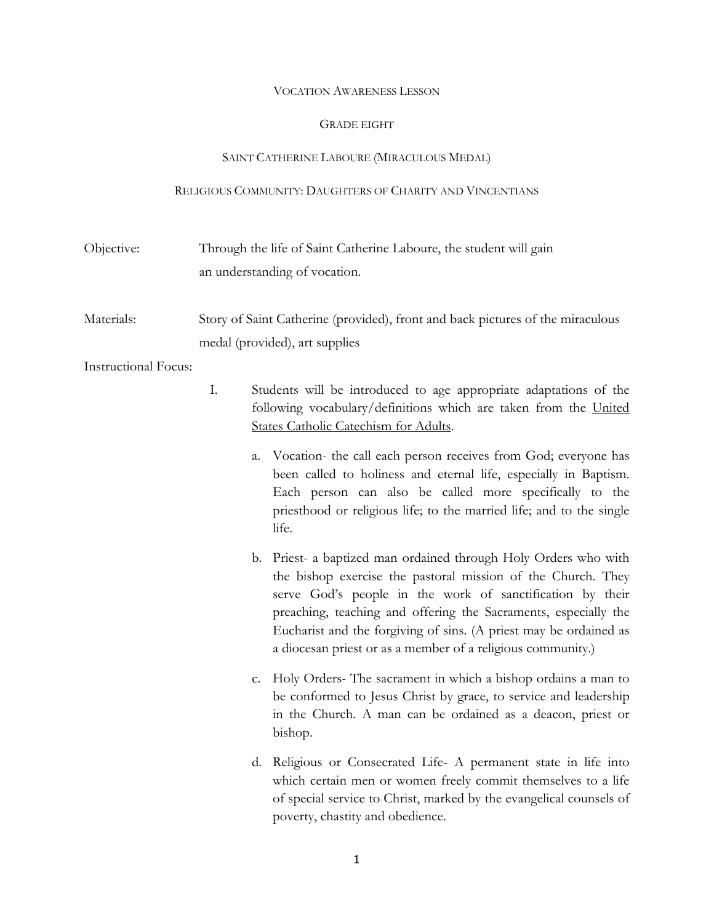#### VOCATION AWARENESS LESSON

### GRADE EIGHT

# SAINT CATHERINE LABOURE (MIRACULOUS MEDAL)

## RELIGIOUS COMMUNITY: DAUGHTERS OF CHARITY AND VINCENTIANS

| Objective:                  | Through the life of Saint Catherine Laboure, the student will gain                                               |                                                                                                                                                                                       |                                                                                                                                                                                                                                                                                                                                                                                                     |
|-----------------------------|------------------------------------------------------------------------------------------------------------------|---------------------------------------------------------------------------------------------------------------------------------------------------------------------------------------|-----------------------------------------------------------------------------------------------------------------------------------------------------------------------------------------------------------------------------------------------------------------------------------------------------------------------------------------------------------------------------------------------------|
|                             |                                                                                                                  |                                                                                                                                                                                       | an understanding of vocation.                                                                                                                                                                                                                                                                                                                                                                       |
| Materials:                  | Story of Saint Catherine (provided), front and back pictures of the miraculous<br>medal (provided), art supplies |                                                                                                                                                                                       |                                                                                                                                                                                                                                                                                                                                                                                                     |
|                             |                                                                                                                  |                                                                                                                                                                                       |                                                                                                                                                                                                                                                                                                                                                                                                     |
| <b>Instructional Focus:</b> |                                                                                                                  |                                                                                                                                                                                       |                                                                                                                                                                                                                                                                                                                                                                                                     |
|                             | I.                                                                                                               | Students will be introduced to age appropriate adaptations of the<br>following vocabulary/definitions which are taken from the United<br><b>States Catholic Catechism for Adults.</b> |                                                                                                                                                                                                                                                                                                                                                                                                     |
|                             |                                                                                                                  | a.                                                                                                                                                                                    | Vocation- the call each person receives from God; everyone has<br>been called to holiness and eternal life, especially in Baptism.<br>Each person can also be called more specifically to the<br>priesthood or religious life; to the married life; and to the single<br>life.                                                                                                                      |
|                             |                                                                                                                  |                                                                                                                                                                                       | b. Priest- a baptized man ordained through Holy Orders who with<br>the bishop exercise the pastoral mission of the Church. They<br>serve God's people in the work of sanctification by their<br>preaching, teaching and offering the Sacraments, especially the<br>Eucharist and the forgiving of sins. (A priest may be ordained as<br>a diocesan priest or as a member of a religious community.) |
|                             |                                                                                                                  | c.                                                                                                                                                                                    | Holy Orders- The sacrament in which a bishop ordains a man to<br>be conformed to Jesus Christ by grace, to service and leadership<br>in the Church. A man can be ordained as a deacon, priest or<br>bishop.                                                                                                                                                                                         |

d. Religious or Consecrated Life- A permanent state in life into which certain men or women freely commit themselves to a life of special service to Christ, marked by the evangelical counsels of poverty, chastity and obedience.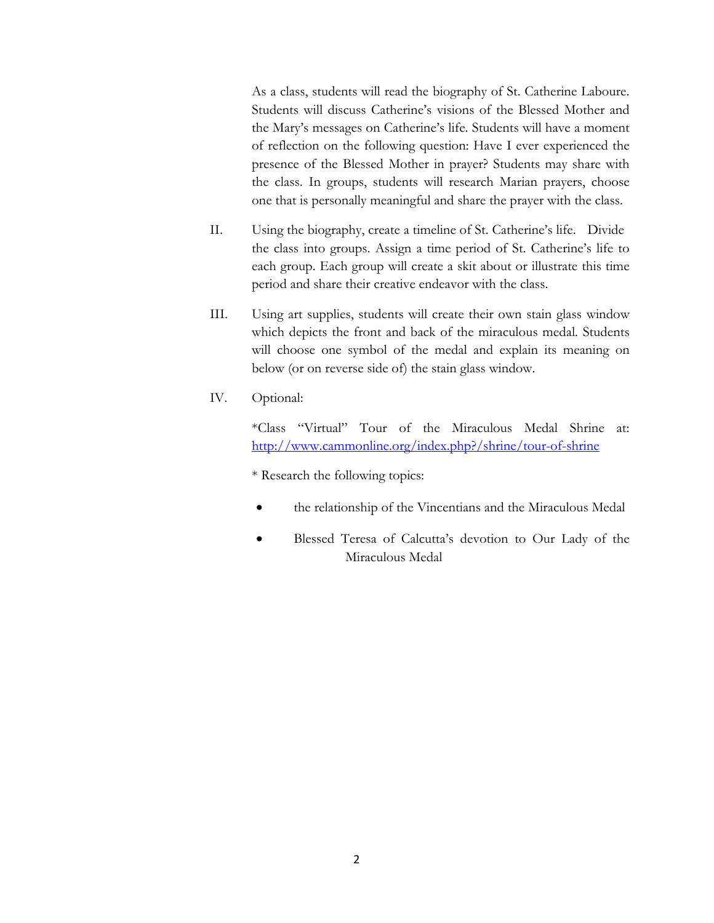As a class, students will read the biography of St. Catherine Laboure. Students will discuss Catherine's visions of the Blessed Mother and the Mary's messages on Catherine's life. Students will have a moment of reflection on the following question: Have I ever experienced the presence of the Blessed Mother in prayer? Students may share with the class. In groups, students will research Marian prayers, choose one that is personally meaningful and share the prayer with the class.

- II. Using the biography, create a timeline of St. Catherine's life. Divide the class into groups. Assign a time period of St. Catherine's life to each group. Each group will create a skit about or illustrate this time period and share their creative endeavor with the class.
- III. Using art supplies, students will create their own stain glass window which depicts the front and back of the miraculous medal. Students will choose one symbol of the medal and explain its meaning on below (or on reverse side of) the stain glass window.
- IV. Optional:

 \*Class "Virtual" Tour of the Miraculous Medal Shrine at: http://www.cammonline.org/index.php?/shrine/tour-of-shrine

\* Research the following topics:

- the relationship of the Vincentians and the Miraculous Medal
- Blessed Teresa of Calcutta's devotion to Our Lady of the Miraculous Medal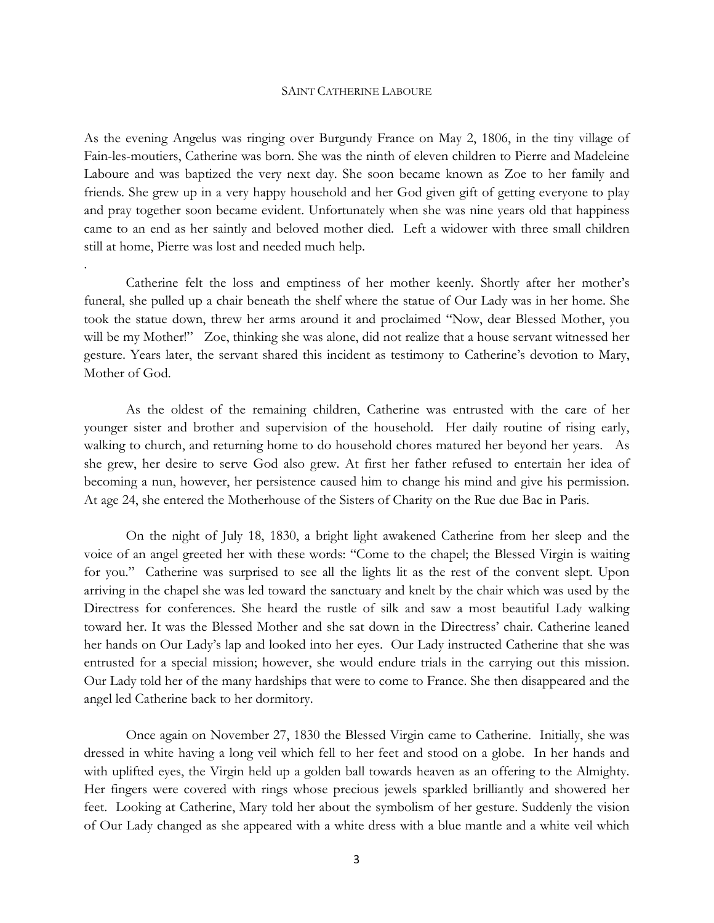#### SAINT CATHERINE LABOURE

As the evening Angelus was ringing over Burgundy France on May 2, 1806, in the tiny village of Fain-les-moutiers, Catherine was born. She was the ninth of eleven children to Pierre and Madeleine Laboure and was baptized the very next day. She soon became known as Zoe to her family and friends. She grew up in a very happy household and her God given gift of getting everyone to play and pray together soon became evident. Unfortunately when she was nine years old that happiness came to an end as her saintly and beloved mother died. Left a widower with three small children still at home, Pierre was lost and needed much help.

 Catherine felt the loss and emptiness of her mother keenly. Shortly after her mother's funeral, she pulled up a chair beneath the shelf where the statue of Our Lady was in her home. She took the statue down, threw her arms around it and proclaimed "Now, dear Blessed Mother, you will be my Mother!" Zoe, thinking she was alone, did not realize that a house servant witnessed her gesture. Years later, the servant shared this incident as testimony to Catherine's devotion to Mary, Mother of God.

.

 As the oldest of the remaining children, Catherine was entrusted with the care of her younger sister and brother and supervision of the household. Her daily routine of rising early, walking to church, and returning home to do household chores matured her beyond her years. As she grew, her desire to serve God also grew. At first her father refused to entertain her idea of becoming a nun, however, her persistence caused him to change his mind and give his permission. At age 24, she entered the Motherhouse of the Sisters of Charity on the Rue due Bac in Paris.

 On the night of July 18, 1830, a bright light awakened Catherine from her sleep and the voice of an angel greeted her with these words: "Come to the chapel; the Blessed Virgin is waiting for you." Catherine was surprised to see all the lights lit as the rest of the convent slept. Upon arriving in the chapel she was led toward the sanctuary and knelt by the chair which was used by the Directress for conferences. She heard the rustle of silk and saw a most beautiful Lady walking toward her. It was the Blessed Mother and she sat down in the Directress' chair. Catherine leaned her hands on Our Lady's lap and looked into her eyes. Our Lady instructed Catherine that she was entrusted for a special mission; however, she would endure trials in the carrying out this mission. Our Lady told her of the many hardships that were to come to France. She then disappeared and the angel led Catherine back to her dormitory.

 Once again on November 27, 1830 the Blessed Virgin came to Catherine. Initially, she was dressed in white having a long veil which fell to her feet and stood on a globe. In her hands and with uplifted eyes, the Virgin held up a golden ball towards heaven as an offering to the Almighty. Her fingers were covered with rings whose precious jewels sparkled brilliantly and showered her feet. Looking at Catherine, Mary told her about the symbolism of her gesture. Suddenly the vision of Our Lady changed as she appeared with a white dress with a blue mantle and a white veil which